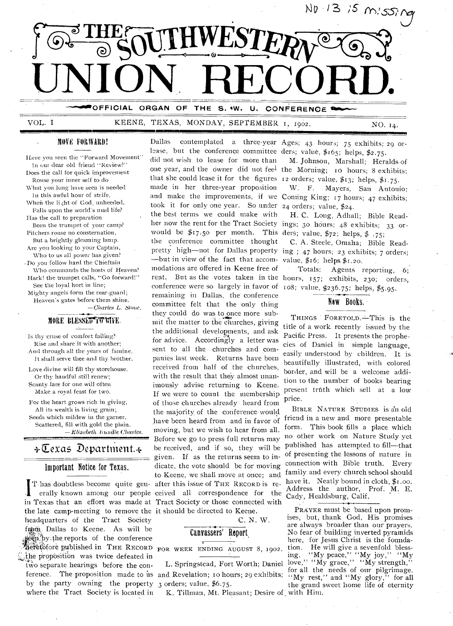

# VOL. I KEENE, TEXAS, MONDAY, SEPTEMBER 1, 1902. NO. 14.

#### MOVE FORWARD!

Have you seen the "Forward Movement" In our dear old friend "Review?" Does the call for quick improvement Rouse your inner self to do What you long, have seen is needed

In this awful hour of strife, When the light of God, unheeded,

Falls upon the world's niad life? Has the call to preparation

Been the trumpet of your camp? Pitchers rouse no consternation,

But a brightly gleaming lamp. Are you looking to your Captain, Who to us all power has given? • Do you follow hard the Chieftain

Who commands the hosts of Heaven? Hark! the trumpet calls, "Go forward!" See the loyal hort in line; Mighty angels form the rear-guard; Heaven's gates before them shine.

*—Charles* L. *Slime.* 

# **MORE BLESSED FORTHE.**

Is thy cruse of comfort failing? Rise and share it with another; .And through all the years of famine, It shall serve thee and thy brother.

Love divine will fill thy storehouse. Or thy handful still renew; Scanty fare for one. will often Make a royal feast for two.

For the heart grows rich in giving, All its wealth is living grain; Seeds which mildew in the garner, Scattered, fill with gold the plain. —Elizabeth trundle Charles.

# $\div \overline{\mathbb{C}}$ exas Department. $\div$

#### Important Notice for Texas.

ference. The proposition made to us and Revelation; 10 hours; 29 exhibits; - erally known among our people ceired all correspondence for the in Texas that an effort was made at Tract Society or those connected with the late camp-meeting to remove the it should be directed to Keene. headquarters of the Tract Society friam. Dallas to Keene. As will be T-iii.: Dallas to Keene. As will be heretofore published in THE RECORD the proposition was twice defeated in two separate hearings before the conby the party owning the property where the Tract Society is located in

Dallas contemplated a three-year Ages; 43 hours; 75 exhibits; 29 orlease, but the conference committee ders; value,  $$165$ ; helps,  $$2.75$ . did not wish to lease for more than one year, and the owner did not feel the Morning; 10 hours; 8 exhibits; that she could lease it for the figures 12 orders; value, \$13; helps, \$1.75. made in her three-year proposition and make the improvements, if *we*  Coming King; 17 hours; 47 exhibits; took it for only one year. So under 24 orders; value, \$24. the best terms we could make with her now the rent for the Tract Society ings; 30 hours; 48 exhibits; 33 orwould be  $\frac{1}{2}$  r7.50 per month. This ders, value,  $\frac{1}{2}$ ; helps,  $\frac{1}{2}$  .75; the conference committee thought pretty high—not for Dallas property ing; 47 hours; 23 exhibits; 7 orders; —but in view of the fact that accommodations are offered in Keene free of rent. But as the votes taken in the hours,  $157$ ; exhibits,  $230$ ; orders, conference were so largely in favor of  $108$ ; value, \$236.75; helps, \$5.95. remaining in Dallas, the conference committee felt that the 'only thing they could do was to once more submit the matter to the churches, giving the additional developments, and ask for advice. Accordingly- a letter was sent to all the churches and companies last week. Returns have been received from half of the churches, with the result that they almost unanimously advise returning to Keene. If we were to count the membership of those churches already heard from the majority.of the conference-would have been heard from and in favor of moving, but we wish to hear from all. Before we go to press full returns may IT has doubtless become quite gen- after this issue of THE RECORD is rebe received, and if so, they will be given. If as the returns seem to indicate, the vote should be for moving to Keene, we shall move at once; and

C. N. W.

# Canvassers' Report,

FOR WEEK ENDING AUGUST 8, 1902.

L. Springstead, Fort Worth; Daniel 3 orders; value, \$6.75.

K. Tillman, Mt. Pleasant; Desire of with Him.

M. Johnson, Marshall; Heralds-of

W. F. Mayers, San Antonio;

H. C. Long, Adhall; Bible Read-

C. A. Steele, Omaha; Bible Readvalue,  $$16;$  helps  $$1.20.$ 

Totals: Agents reporting, 6;

#### New Books.

THINGS FORETOLD.—This is the title of a work recently issued by the Pacific Press. It presents the prophecies of Daniel in simple language,. easily understood by children. It is beautifully illustrated, with colored border, and will be a welcome addition to the number of books bearing present trfith which sell at a low price.

BIBLE NATURE STUDIES is an old friend in a new and more presentable form. This book fills a place which no other work on Nature Study yet published has attempted to fill—that of presenting the lessons of nature in connection with Bible truth. Every family and every church school should have it. Neatly bound in cloth, \$1.00. Address the author, Prof. M. E. Cady, Healdsburg, Calif.

PRAYER must be based upon promises, but, thank God, His promises are always broader than our prayers. No fear of building inverted pyramids here, for Jesus Christ is the foundation. He will give a sevenfold blessing. "My peace," "My joy," "My love," "My grace," "My strength," for all the needs of our pilgrimage. "My rest," and "My glory," for all the grand sweet home life of eternity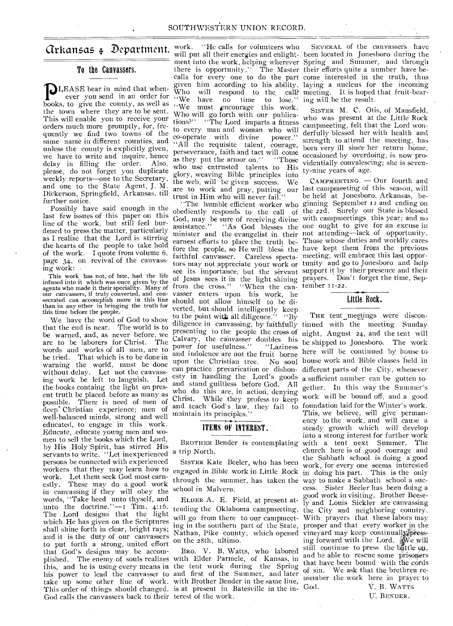### To the Canvassers.

JLEASE bear in mind that whenever you send in an order for books, to give the county, as well as  $we$  have no time to lose. the town where they are to be sent. This will enable you to receive your orders much more promptly, for, frequently we find two towns of the same name in different counties, and unless the county is explicitly given, we have to write and inquire, hence delay in filling the order. Also, please, do not forget you duplicate weekly reports—one to the Secretary, and one to the State Agent, J. M. Dickerson, Springfield, Arkansas, till further notice.

Possibly have said enough in the last few issues of this paper on this line of the work, but still feel burthe of the work, but still leel bur-<br>dened to press the matter, particularly minister and as I realize that the Lord is stirring the hearts of the people to take hold of the work. I quote from volume 6, page 34, on revival of the canvassing work:

This work has not, of late, had the life infused into it which was once given by the agents who made it their speciality. Many of our canvassers, if truly converted, and con-secrated can accomplish more in this line than in any other in bringing the truth for this time before the people.

We have the word of God to show that the end is near. The world is to be warned, and, as never before, we are to be laborers for Christ. The words and works of all men, are to be tried. That which is to be done in warning the world, must be done without delay. Let not the canvassing work be left to languish. Let the books containg the light on present truth be placed before as many as possible. There is need of men of deep Christian experience; men of well-balanced minds, strong and well educated, to engage in this work. Educate, educate young men and women to sell the books which the Lord, by His Holy Spirit, has stirred His by THS Trofy Spirit, has stirted THS a trip North. persons be connected with experienced workers that they may learn how to work. Let them seek God most earn-<br>estly. These may do a good work These may do a good work in canvassing if they will obey the words, "Take heed unto thyself, and unto the doctrine." $-1$  Tim. 4:16. The Lord designs that the light which He has given on the Scriptures shall shine forth in clear, bright rays; and it is the duty of our canvassers to put forth a strong, united effort that God's designs may be accomplished. The enemy of souls realizes with Elder Parmele, of Kansas, in this, and he is using every means in the tent work during the Spring his power to lead the canvasser to take up some other line of work. This order of things should changed. God calls the canvassers back to their terest of the work. his power to lead the canvasser to and first of the Summer, and later

**Grkansas**  $\oint$  **Department.** work. "He calls for volunteers who there is opportunity." The Master their efforts quite a number have be-Who will respond to the call? Who will respond to the call? meeting. It is hoped that fruit-bear-<br>"We have no time to lose." ing will be the result. Who will go forth with our publications?" . "The Lord imparts a fitness to every man and woman who will<br>co-operate with divine power." co-operate with divine "All the requisite talent, courage, perseverance, faith and tact will come<br>as they put the armor on." "Those as they put the armor on." who use entrusted talents to His glory, weaving Bible principles into the web, will be given success. We trust in Him who will never fail."

assistance." "As God blesses the earnest efforts to place the truth befaithful canvasser. Careless specta-meeting, will embrace this last opporof Jesus sees it in the light shining prayers. Don't forget the time, Sepfrom the cross." "When the can- tember 11-22. vasser enters upon his work, lie should not allow himself to be diverted, but should intelligently keep to the point with all diligence." "By diligence in canvassing, by faithfully presenting to the people the cross of Calvary, the canvasser doubles his power for usefulness." "Laziness and indolence are not the fruit borne upon the Christian tree. No soul can practice prevarication or dishonesty in handling the Lord's goods and stand guiltless before God. All who do this are, in action, denying Christ. While they profess to keep and teach God's law, they fail to maintain its principles." •

#### ITEMS OF INTEREST.

SISTER Kate Beeler, who has been through the summer, has taken the way to make a Sabbath school a sucschool in Malvern.

ELDER A. E. Field, at present atwill go from there to our campmeeting in the southern part of the State, Nathan, Pike county, which opened vineyard may keep continually presson the 28th, ultimo.

BRO. V. B. Watts, who labored with Brother Bender in the same line, is at present in Batesville in the in-

will put all their energies and enlight-been located in Jonesboro during the ment into the work, helping wherever Spring and Summer, and through calls for every one to do the part come interested in the truth, thus. given him according to his ability. laying a nucleus for the incoming SEVERAL of the canvassers have ing will be the result.

> SISTER M. C. Otis, of Mansfield, who was present at the Little Rock campmeeting, felt that the Lord wonderfully blessed her with health and strength to attend the meeting, has been very ill since her return home, occasioned by -overdoing, is now providentially convalescing; she is seventy-nine years of age.

are to work and pray, putting our last campmeeting of this season, will "The humble efficient worker who ginning September 11 and ending on obediently responds to the call of the 22d. Surely our State is blessed God, may be sure of receiving divine with campmeetings this year; and no minister and the evangelist in their not attending—lack of opportunity. fore the people, so He will bless the have kept them from the previous tors may not appreciate your work or tunity and go to Jonesboro and help see its importance, but the servant support it by their presence and their CAMPMEETING. - Our fourth and be held at Jonesboro, Arkansas, be-"As God blesses the one ought to give for an excuse in Those whose duties and worldly cares

#### Little Rock.

BROTHER Bender is contemplating with a tent next Summer. The engaged in Bible work in Little Rock in doing his part. This is the only tending the Oklahoma campmeeting, the City and neighboring country. THE tent meetings were discontinued with the meeting Sunday. night, August 24, and the tent will be shipped to Jonesboro. The work here will be continued by house to house work and Bible classes held in different parts of the City, whenever a sufficient number can be gotten together. In this way the Summer's work will be bound off, and a good foundation laid for the Winter's work. This, we believe, will give permanency to the work, and will cause a steady growth which will develop into a strong interest for further work church here is of good courage and the Sabbath school is doing a good work, for every one seems interested cess. Sister Beeler has been doing a good work in visiting. Brother Beesely and Louis Sickler are canvassing With prayers that these labors may prosper and that every worker in the ing forward with the Lord. We will still continue to press the battle on, and be able to rescue some prisoners that have been bound with the cords of sin. We ask that the brethren remember the work here in prayer to God, V. B. WATTS

BENDER,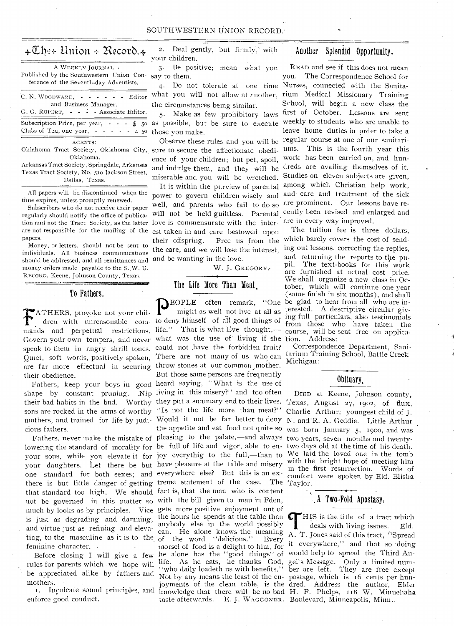| $\star \mathbb{C}$ he÷ Union ÷ Record. $\star$                   |
|------------------------------------------------------------------|
| A WEEKLY JOURNAL .                                               |
| Published by the Southwestern Union Con-                         |
| ference of the Seventh-day Adventists.                           |
| $C. N. WooowaxD. - - - - - -$<br>Editor<br>and Business Manager. |
| G. G. RUPERT, - - - - Associate Editor.                          |
| Subscription Price, per year, -<br>$- - 2.50$                    |
| Clubs of Ten, one year, $- - - - 45$                             |
| AGENTS:                                                          |

Oklahoma.

Arkansas Tract Society, Springdale, Arkansas Texas Tract Society, No. 510 Jackson Street, Dallas, Texas.

All papers will be discontinued when the time expires, unless promptly renewed.

Subscribers who do not receive their paper regularly should notify the office of publicaare not responsible for the mailing of the papers.

should be addressed, and all remittances and and be wanting in the love. individuals. All business communications money orders made payable to the S..W. U. RECORD, Keene, Johnson County, Texas.

#### To Fathers.

استكفه الكتفريط

**Material View** 

**FATHERS**, provoke not your chil-<br>dreu with unreasonable com- to deny himself of all good things of<br>mands and perpetual restrictions. life." That is what Eve thought,— ATHERS, provoke not your chil-Govern your own tempers, and never what was the use of living if she speak to them in angry shrill tones. could not have the forbidden fruit? Quiet, soft words, positively spoken, are far more effectual in securing throw stones at our common mother. their obedience.

shape by constant pruning. Nip living in this misery?" and too often their bad habits in the bud. Worthy they put a summary end to their lives. Texas, August 27, 1902, of flux, sons are rocked in the arms of worthy "Is not the life more than meat?" mothers, and trained for life by judi-Would it not be far better to deny N. and-R. A. Geddie. Little Arthur cious fathers.

lowering the standard of morality for be full of life and vigor, able to en-two days old at the time of his death. your sons, while you elevate it for joy everythig to the full,—than to We laid the loved one in the tomb your daughters. Let there be but have pleasure at the table and misery one standard for both sexes; and everywhere else? But this is an exthere is but little danger of getting treme statement of the case. The Taylor. that standard too high. We should fact is, that the man who is content not be governed in this matter so with the bill given to man in Fden, much by looks as by principles. Vice gets more positive enjoyment out of is just as degrading and damning, and virtue just as refining and elevating, to the masculine as it is to the of the word "delicious." feminine character. -

Before closing I will give a few rules for parents which , we hope will be appreciated alike by fathers and mothers. .

. 1. Inculcate sound principles, and enforce good conduct.

2. Deal gently, but firmly, with your children.

3. Be positive; mean what you say to them.

what you will not allow at another, the circumstances being similar.

5. Make as few -prohibitory laws as possible, but be sure to execute those you make.

Oklahoma Tract Society, Oklahoma City, sure to secure the affectionate obedience of your children; but pet, spoil, and indulge them, and they will be miserable and you will be wretched.

It is within the purview of parental power to govern children wisely and well, and parents who fail to do so will not be held guiltless. Parental cently been revised and enlarged and explaint the Tract Society, as the latter love is commensurate with the inter-are in every way improved. est taken in and care bestowed upon their offspring. Free us from the which barely covers the cost of send-Money, or letters, should not be sent to the care, and we will lose the interest,

W. J. GREGORY:

#### The Life More Than Meat

THERS, provoke not your chil-<br>dren with unreasonable com- to deny himself of all good things of Fathers, keep your boys in good heard saying, "What is the use of Fathers, never make the mistake of pleasing to the palate,—and always two years, seven months and twentymight as well not live at all as There are not many of us who can But those same persons are frequently the appetite and eat food not quite so was born January 5, 1900, and was the hours he spends at the table than  $\epsilon$ anybody else in the world possibly of the word "delicious." Every joyments of the clean table, is the knowledge that there will be no bad

#### Another Splendid Opportunity.

4. Do not tolerate at one time Nurses, connected with the Sanita-Observe these rules and you will be regular course at one of our sanitari-READ and see if this does not mean you. The Correspondence School for rium Medical Missionary Training School, will begin a new class the first of October. Lessons are sent weekly to students who are unable to leave home duties in order to take. a ums. This is the fourth year this work has been carried on, and hundreds are availing themselves of it. Studies on eleven subjects are given, among which Christian help work, and' care and treatment of the sick are prominent. Our lessons have re-

EOPLE often remark, "One be glad to hear from all who are interested. A descriptive circular giving full particnlars, also testimonials from those who have taken the course, will be sent free on application. Address: The tuition fee is three dollars, ing out lessons, correcting the replies, and returning the reports to the pupil. The text-books for this work are furnished at actual cost price. We shall organize a new class in October, which will continue one year (some finish in six months), and shall

Correspondence Department, Sanitarium Training School, Battle Creek, Michigan:

#### Obituary.

DIED at Keene, Johnson county, Charlie Arthur, youngest child of J. with. the bright hope of meeting him in the first resurrection. Words of comfort were spoken by Eld. Elisha

#### A Two-Fold Apostasy,

anybody else in the world possibly  $\parallel$  deals with living issues. Eld.<br>can. He alone knows the meaning  $\parallel$  T. Jones said of this tract "Spread of the word deficious. Every it everywhere," and that so doing lie alone has the "good things" of would help to spread the Third Anlife. As lie eats, he thanks God, gel's Message. Only a limited num-"who daily loadeth us with benefits." ber are left. They are free except Not by any means the least of the en-postage, which is 16 cents per huntaste afterwards. E. J. WAGGONER. Boulevard, Minneapolis, Minn.. HIS is the title of a tract which A. T. Jones said of this tract, "Spread dred. Address the author, Elder H. F. Phelps, 118 W. Minnehaha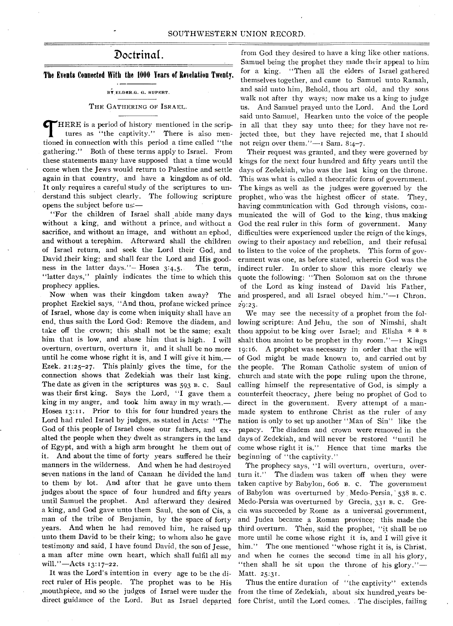# Doctrinal.

**The Events Connected With the 1000 Years of Revelation Twenty.** 

#### BY ELDER.G. G. RUPERT.

#### THE GATHERING OF ISRAEL.

HERE is a period of history mentioned in the scriptures as "the captivity." There is also mentioned in connection with this period a time called "the gathering." Both of these terms apply to Israel. From these statements many have supposed that a time would come when the Jews would return to Palestine and settle again in that country, and have a kingdom as of old. It only requires a careful study of the scriptures to understand this subject clearly. The following scripture opens the subject before us:—

"For the children of Israel shall abide many days without a king, and without a prince, and without a sacrifice, and without an image, and without an ephod, and without a terephim. Afterward shall the children of Israel return, and seek the Lord their God, and David their king; and shall fear the Lord and His goodness in the latter days."— Hosea 3:4,5. The term, "latter days," plainly indicates the time to which this prophecy applies.

Now when was their kingdom taken away? prophet Ezekiel says, "And thou., profane wicked prince of Israel, whose day is come when iniquity shall have an end, thus saith the Lord God: Remove the diadem, and take off the crown; this shall not be the same; exalt him that is low, and abase him that is high. I will overturn, overturn, overturn it, and it shall be no more until he come whose right it is, and I will give it him.— Ezek. 21:25-27. This plainly gives the time, for the connection shows that Zedekiah was their last king. The date as given in the scriptures was 593 B. C. Saul was their first king. Says the Lord, "I gave them a king in my anger, and took him away in my wrath.— Hosea 13:11, Prior to this for four hundred years the Lord had ruled Israel by judges, as stated in Acts: "The God of this people of Israel chose our fathers, and exalted the people when they dwelt as strangers in the land of Egypt, and with a high arm brought he them out of it. And about the time of forty years suffered he their manners in the wilderness. And when he had destroyed seven nations in the land of Canaan he divided the land to them by lot. And after that he gave unto them judges about the space of four hundred and fifty years until Samuel the prophet. And afterward they desired a king, and God gave unto them Saul, the son of Cis, a man of the tribe of Benjamin, by the space of forty years. And when he had removed him, he raised up unto them David to be their king; to whom also he gave testimony and said, I have found David, the son of Jesse, a man after mine own heart, which shall fulfil all my will."—Acts 13:17-22.

It was the Lord's intention in every age to be the direct ruler of His people. The prophet was to be His .mouthpiece, and so the judges of Israel were under the direct guidance of the Lord. But as Israel departed

from God they desired to have a king like other nations. Samuel being the prophet they made their appeal to him for a king. "Then all the elders of Israel gathered themselves together, and came to Samuel unto Ramah, and said unto him, Behold, thou art old, and thy sons walk not after thy ways; now make us a king to judge us. And Samuel prayed unto the Lord. And the Lord said unto Samuel, Hearken unto the voice of the people in all that they say unto thee; for they have not re jected thee, but they have rejected me, that I should not reign over them."—r Sam. 8:4-7.

Their request was granted, and they were governed by kings for the next four hundred and fifty years until the days of Zedekiah, who was the last king on the throne. This was what is called a theocratic form of government. The kings as well as the judges were governed by the prophet, who 'was the highest officer of state. They, having communication with God through visions, communicated the will of God to the king, thus making God the real ruler in this form of government. Many difficulties were experienced under the reign of the kings, owing to their apostacy and rebellion, and their refusal to listen to the voice of the prophets. This form of government was one, as before stated, wherein God was the indirect ruler. In order to show this more clearly we quote the following: "Then Solomon sat on the throne of the Lord as king instead of David his Father, The and prospered, and all Israel obeyed him."-I Chron. 29:23.

> We may see the necessity of a prophet from the following scripture: And Jehu, the son of Nimshi, shalt thou appoint to be king over Israel; and Elisha  $* * *$ shalt thou anoint to be prophet in thy room." $-1$  Kings 19:16. A prophet was necessary in order that the will of God might be made known to, and carried out by the people. The Roman Catholic system of union of church and state with the pope ruling upon the throne, calling himself the representative of God, is simply a counterfeit theocracy, there being no prophet of God to direct in the government. Every attempt of a manmade system to enthrone Christ as the ruler of any nation is only to set up another "Man of Sin" like the papacy. The diadem and crown were removed in the days of Zedekiah, and will never be restored "until he come whose right it is." Hence that time marks the beginning of "the captivity."

> The prophecy says, "I will overturn, overturn, overturn it." The diadem was taken off when they were taken captive by Babylon, 6o6 B. c. The government of Babylon was overturned by Medo-Persia, 538 B. C. Medo-Persia was overturned by Grecia, 331 B. c. Grecia .was succeeded by Rome as a universal government, and Judea became a Roman province; this made the third overturn. Then, said the prophet, "it shall be no more until he come Whose right it is, and I will give it him." The one mentioned "whose right it is, is Christ, and when he comes the second time in all his glory, "then shall he sit upon the throne of his glory."— Matt. 25:31.

> Thus the entire duration of "the captivity" extends from the time of Zedekiah, about six hundred,years before Christ, until the Lord comes, . The disciples, failing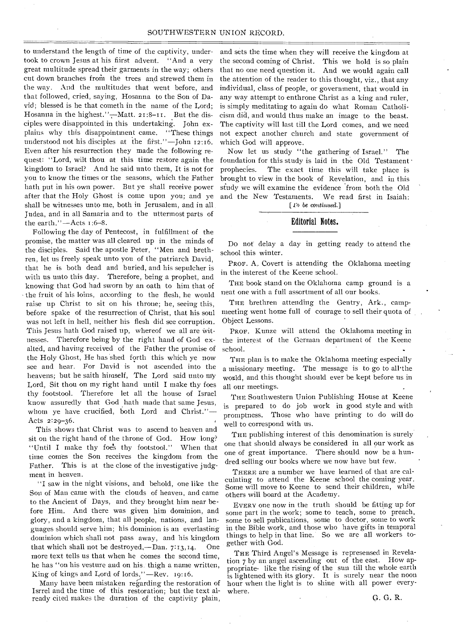to understand the length of time of the captivity, tindertook to crown Jesus at his fiirst advent. "And a very great multitude spread their garments in the way; others cut down branches from the trees and strewed them in the way. And the multitudes that went before, and that followed, cried, saying, Hosanna to the Son of David; blessed is he that cometh in the name of the Lord; Hosanna in the highest."-Matt. 21:8-11. But the disciples were disappointed in this undertaking. John explains why this disappointment came. "These things understood not his disciples at the first."—John  $12:16$ . Even after his resurrection they made the following request: "Lord, wilt thou at this time restore again the kingdom to Israel? And he said unto them, It is not for you to know the times or the seasons, which the Father hath put in his own power. But ye shall receive power after that the Holy Ghost is come upon you; and ye shall be witnesses unto me, both in Jerusalem, and in all Judea, and in all Samaria and to the uttermost parts of the earth." $-A$ cts  $1:6-8$ .

Following the day of Pentecost, in fulfillment of the promise, the matter was all cleared up in the minds of the disciples. Said the apostle Peter, "Men and brethren, let us freely speak unto you of the patriarch David, that he is both dead and buried, and his sepulcher is with us unto this day. Therefore, being a prophet, and knowing that God had sworn by an oath to him that of - the fruit of his loins, according to the flesh, he would raise up Christ to sit on his throne; he, seeing this, before spake of the resurrection of Christ, that his soul was not left in hell, neither his flesh did see corruption. This Jesus hath God raised up, whereof we all are witnesses. Therefore being by the right hand of God exalted, and having received of the Father the promise of the Holy Ghost, He has shed forth this which ye now see and hear. For David is not ascended into the heavens; but he saith himself, The Lord said unto my Lord, Sit thou on my right hand until I make thy foes thy footstool. Therefore let all the house of Israel know assuredly that God hath made that same Jesus, whom ye have crucified, both Lord and Christ."— Acts 2:29-36.

This shows that Christ was to ascend to heaven and sit on the right hand of the throne of God. How long? "Until I make thy foes thy footstool." When that time comes the Son receives the kingdom from the Father. This is at the close of the investigative judgment in heaven.

"I saw in the night visions, and behold, one like the Son of Man came with the clouds of heaven, and came to the Ancient of Days, and they brought him near before Him. And there was given him dominion, and glory, and a kingdom, that all people, nations, and languages should serve him; his dominion is an everlasting dominion which shall not pass away, and his kingdom that which shall not be destroyed,—Dan. 7:13,14. One more text tells us that when he comes the second time, he has "on his vesture and on his. thigh a name written, King of kings and Lord of lords."—Rev. 19:16.

Many have been mistaken regarding the restoration of Isrrel and the time of this restoration; but the text already cited makes the duration of the captivity plain,

and sets the time when they will receive the kingdom at the second coming of Christ. This we hold is so plain that no one need question it. And we would again call the attention of the reader to this thought, viz., that any individual, class of people, or government, that would in any way attempt to enthrone Christ as a king and ruler, is simply meditating to again do what Roman Catholicism did, and would thus make an image to the beast. The captivity will last till the Lord comes, and we need not expect another church and state government of which God will approve.

Now let us study "the gathering of Israel." The foundation for this study is laid in the Old Testament prophecies. The exact time this will take place is brought to view in the book of Revelation, and in this study we will examine the evidence from both the Old and the New Testaments. We read first in Isaiah:

*[ l'o be continued.]* 

#### Editorial Notes.

Do not delay a day in getting ready to attend the school this winter.

PROF. A. Covert is attending the Oklahoma meeting in the interest of the Keene school.

THE book stand on the Oklahoma camp ground is a neat one with a full assortment of all our hooks.

THE brethren attending the Gentry, Ark., campmeeting went home full of courage to sell their quota of Object Lessons.

PROF. Kunze will attend the Oklahoma meeting in the interest of the German department of the Keene school.

THE plan is to make the Oklahoma meeting especially a missionary meeting. The message is to go to all•the world, and this thought should ever be kept before us in all our meetings.

THE Southwestern Union Publishing House at Keene is prepared to do job work in good style and with promptness. Those who have printing to do will do well to correspond With us.

THE publishing interest of this denomination is surely one that should always be considered in all our work as one of great importance. There should now be a hundred selling our books where we now have but few.

THERE are a number we have learned of that are calculating to attend the Keene school the coming year. Some will move to Keene to send their children, while others will board at the Academy.

EVERY one now in the truth should be fitting up for some part in the work; some to teach, some to preach, some to sell publications, some to doctor, some to work in the Bible work, and those who have gifts in temporal things to help in that line. So we are all workers together with God.

THE Third Angel's Message is represensed in Revelation 7 by an angel ascending out of the east. How appropriate- like the rising of the sun till the whole earth is lightened with its glory. It is surely near the noon hour when the light is to shine with all power everywhere.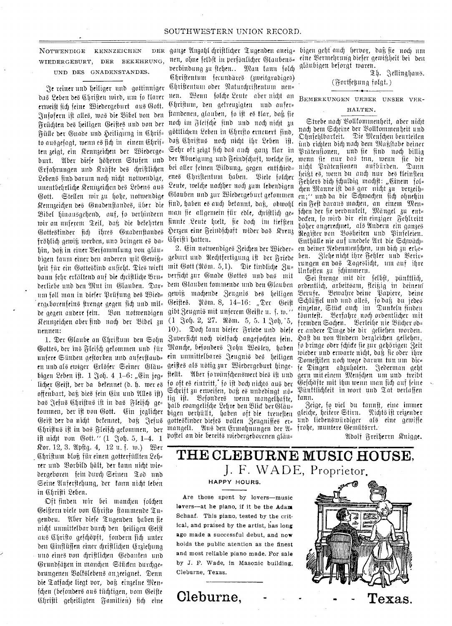#### SOUTHWESTERN UNION RECORD.

#### NOTWENDIGE KENNZEICHEN WIEDERGEBURT, DER BEKEHRUNG, UND DES GNADENSTANDES.

`ye seiner unb beiligex unb gottinniger das Leben des Christen wird, um so flarer ermeift fid) feine Siebergeburt nub (Mott. 0tfofern ift alleb, may bie 'Sibet bon ben Früchten des heiligen Geistes und von der Fülle der Gnade und Heiligung in Chrif= to ausgefagt, wenn es sich in einem Chrif= ten zeigt, ein Rennzeichen der Wiederge= burt. Aber diese höheren Stufen und (afabrungen unb ffrafte beb ebrifttid)en Lebens find darum noch nicht notwendige, unentbehrliche Kennzeichen des Lebens aus &At. Steffen mit 3u bobe, nottbenbige Rennmeieben beb Rnabenhanba, fiber bie Bibel hinausgehend, auf, fo verhindern mix an unferent Veil, bah hie betebrten Gottestinder fich ihres Gnadenstandes fröhlich gewiß werben, uno bringen es da= bin, bell; in einer \$erfammtung bon glatt= bigen kaum einer den anderen mit Gewiß= heit für ein Gottestind aufieht. Dies wirft mit Gott (Nöm. 5,1). Die tindliche Zu= dann fehr erfältend auf die chriftliche Bru= bertiebe unb ben Mitt int (Silattben. Tar= hem Ofauben tommenbe unb ben (fitattben um foll man in diefer Prüfung des Wied= ergt.borenfeir0 hrenge gegen lid) unb mil= de gegen andere fein. Bon notwendigen gibt Zeugni§ mit unferem Geifte u. f. w.'' Kennzeichen aber find nach der Bibel  $_\mathrm{34}$  ( $1$  Foh.  $2$ , 27. Nöm. 5, 5.  $1$  Foh, '5, nennen:

en und als ewiger Erlöfer Seiner Bläu= geiftes als nötig zur Wiedergeburt hingebigen Leben ift.  $1 \text{ Noh. } 4 \text{ } 1\text{-}6$ : "Ein jeg= offenbart, daß dies sein Ein und Alles ift) das Jefus Chriftus ist in das Fleisch ge= ift nicht von Gott." (1 Joh. 5, 1-4. 1 nor. 12, 3. W.plig. 4, 12 u. f. tu.) Bet (\$1)riffunt Mph fiir einen gotterfiitlten 20= rer und Borbild hält, der fann nicht wie= bergeboren fein buret) Seinen Slob unb Seine Auferstehung, der kann nicht leben in Christi Leben.

Oft finben mit bei mandyn fold)en Oeiffern biefe Don Csbrifto hammenbe au= gendeu. Aber diefe Tugenden haben fie nicht unmittelbar durch den heiligen Geist nub 0:briho geicfninft, fonbern fid) unter den Einflüssen einer chriftlichen Erziehung uno eines von christlichen Gedanken und (9runbf4en in maneben Stilden burcbge. brungenen %3ottbiebenb an,teeignet. Tenn bie Tatfache liegt vor, daß einzelne Men= fchen (befonders aus tüchtigen, vom Geifte Chrifti geheiligten Familien) fich eine

ganze Anzahl chriftlicher Tugenden aneig= bigen geht auch hervor, daß fie noch um berbindung zu ftehen.. Man fann fold) gläubigen beforgt waren. Chriftentum fecundäres (zweitgradiges) Christentum oder Naturchristentum nen= nen. Wenn folche Leute aber nicht an Christum, den gefreuzigten und aufer= ftandenen, glauben, fo ist es flar, daß sie noch im Fleische sind und noch nicht zu göttlichem Leben in Christo erneuert find. daß Christus noch nicht ihr Leben ift. Sehr oft zeigt sich das auch ganz klar in ber Abneigung und Feindschaft, welche sie, bei aller feinen Bildung, gegen entschied= enes Chriftentum haben. Biele folcher Leute, welche nachher noch zum lebendigen qitatiben unb milt 2Biebergeburt getommen en;" unb ha bie Schruachen fid) obnebin find, haben es auch betannt, daß, obwohl man fie allgemein für edle, chriftlich ge= finnte .2eute butt, fie hod) int tiefften Herzen eine Feindschaft wider das Kreuz Cfbrifti batten.

1. Der Glaube an Chriftum den Sohn Zuverficht noch vielfach angefochten jein. 1. Der Glaube an Chriftum den Sohn Zuverstähl noch vielfach angefochten fein.<br>Gottes, der ins Fleifch gefommen und für Manche, befonders John Weslen, haben unfere Sünden geftorben und auferftaud= ein unmittelbares Jeugnis des heiligen licher Geift, der da bekennet (d. h. wer es so oft es eintritt, so ist doch nichts aus der fommen, der ift von Gott. Cin jeglicher bigen verhüllt, haben oft die treueften gleiche, heifere Stirn. Nichts ift reizender Geift der da nicht befennet, daß Jefus gottestinder diefes vollen Zeugniffes er= und liebenswürdiger als eine gewiffe Chriftus ift in das Fleifch gefommen, der mangelt. Wus den Ermahnungen der Q= frohe, muntere Gemütsrrt. 2. Ein notwendiges Zeichen der Wieder= geburt unb Weebtfertigung iff her 3riebe verficht zur Gnade Gottes und das mit gewiß machende Zeugnis des heiligen Geiftes. Nöm. 8, 14–16: "Der Geist 10). Tod) faun biefer B•riebe unb biefe er.anbere Tinge hit bit gefieben tuorben. ftellt. Wher so wünschenswert dies ift und  $\mathfrak{S}$ chrift zu erweifen, daß es unbedingt no= tig ist. Besonders wenn mangelhafte, halb evangelische Lehre den Blick der Gläu= boffel an bie bereits tuiebergeborenen gfau=

nen, ohne felbft in perfönlicher Glaubens= eine Bermehrung diefer gewißheit bei den

Th. Jellinahaus.

(Fortfegung folgt.)

BEMERKUNGEN UEBER UNSER VER-

## HALTEN.

Strebe nady sSottfoutmenbeit, ober nidjt nach dem Scheine der Vollkommenheit und Ohnsehlbarteit. Die Menschen beurteilen iinb rid)ten bid) nod) bent s.)Rafiffabe beiner Tratenfionen, unb he jinb nod) billig wenn fie nur das inn, wenn fie dir nicht Prätensionen aufbürden. heißt es, wenn du anch nur des kleinsten  $\mathfrak F$ ehlers bich fchuldig machft: "Einem fol= d)en s.).Ranne ift bob gar nicbt mu bergity- ein Fest daraus machen, an einem Men= fchen der sie verduntelt, Mängel zu ent= beden, fo wird dir ein einziger Fehltritt höher angerechnet, als Undern ein ganzes Register von Bosheiten und Pinseleien. Lntbiiile nie auf unebete hie Sdnuadyen deiner Nebenmenfchen, um dich zu erle= ben. Ziehe nicht ihre Fehler und Berir= rungen an das Tageslicht, um auf ihre<br>Unfosten zu schimmern.

Sei strenge mit dir felbst, pünktlich, ordentlich, arbeitsam, fleißig in deinen Berufe. Bewahre deine Papiere, deine Schlüssel und und alles, so daß du jedes einzelne, Stück auch im Dunkeln finden tönnteft. Berfahre noch ordentlicher mit<br>fremden Sachen. Berleihe nie Bücher od= Berleihe nie Bücher od= daft bu non Mtbern bergleidyn getieben, jo bringe ober Mit& he Sur geborigen 3eit mieber•unb ermarte nid)t, baf3 fie ober ibre Domestiten noch wege darum tun um die= fe Dingen abzuholen. Jederman geht gern mit einem Menfchen um und treibt 03efcbilfte mit atm main man fief) auf feine Pünklichkeit in wort und Tat verlassen tans.

 $\beta$ eige, fo viel du fannft, eine immer

9lboif axeiberm anigge.

# **THE CLEBURNE MUSIC HOUSE,**  J. F. WADE, Proprietor.

#### HAPPY HOURS.

Are those spent by lovers—music levers—at he piano, if it be the Adana Schaaf. This piano, tested by the critical, and praised by the artist, has long ago made a successful debut, and now holds the public atention as the finest and most reliable piano made. For sale by J. F. Wade, in Masonic building, Cleburne, Texas.



**Cleburne,**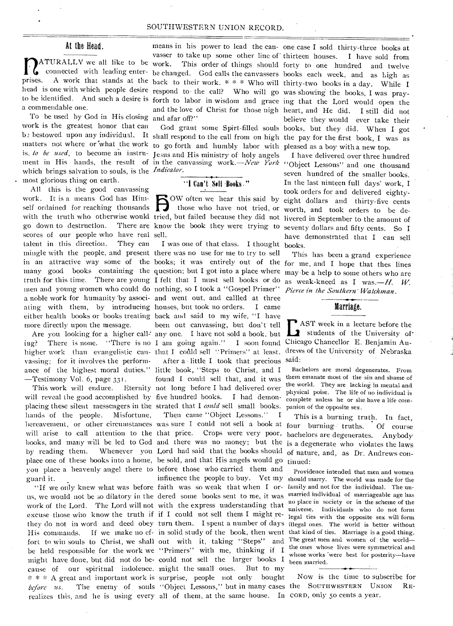#### SOUTHWESTERN UNION RECORD.

#### At the Head.

MATURALLY we all like to be<br>connected with leading enterconnected with leading enterprises. A work that stands at the back to their work. \* \* \* Who will thirty-two books in a day. While I head is one with which people desire respond to the call? Who will go was showing the books, I was prayto be identified. And such a desire is forth to labor in wisdom and grace ing that the Lord would open the a commendable one.

To be used by God in His closing and afar off?" work is the greatest honor that can matters not where or what the work to go forth and humbly labor with pleased as a boy with a new top. is, *to be used,* to become an instru-Jesus and His ministry of-holy angels ment in His hands, the result of in the canvassing work. *—New York* "Object Lessons" and one thousand which brings salvation to souls, is the *Indicator.*  most glorious thing on earth.

All this is the good canvassing work. It is a means God has Himwork. It is a means God has Him-<br>self ordained for reaching thousands<br>with the truth who otherwise would tried with the truth who otherwise would tried, but failed because they did not livered in September to the amount of go down to destruction. There are know the book they were trying to scores of our people who have real sell. talent in this direction. They can mingle with the people, and present there was no use for me to try to sell many good books containing the question; but I got into a place where truth for this time. There are young I felt that I must sell books or do men and young women who could do nothing, so I took a "Gospel Primer" a noble work for humanity by associ- and went out, and callled at three ating with them, by introducing houses, but took no orders. I came either health books or books treating hack and said to my wife, "I have more directly upon the message.

ing? There is none. "There is no I am going again." I soon found Chicago Chancellor E. Benjamin Auvassing; for it involves the performance of the highest moral duties." little book, "Steps to Christ, and I —Testimony Vol. 6, page 331.

will reveal the good accomplished by five hundred books. I had demonplacing these silent messengers in the strated that I *could* sell small books. hands of the people. Misfortune, bereavement, or other circumstances was sure I could not sell a book at four burning truths. Of course will arise to call attention to the that price. Crops were very poor, bachelors are degenerates. Anybody by reading them. Whenever you Lord had said that the books should of nature, and, as Dr. Andrews conplace one of these books into a home, be sold, and that His angels would go tinued: you place a heavenly angel there to before those who carried them and guard it.

us, we would not be so dilatory in the dered some books sent to me, it was married individual of marriageable age has work of the Lord. The Lord will not with the express understanding that no place in society or in the scheme of the excuse those who know the truth if if I could not sell them I might re-legal ties with the opposite sex will form they do not in word and deed obey turn them. I spent a number of days illegal ones. The world is better without His commands. If we make no ef- in solid study of the book, then went that kind of ties. Marriage is a good thing. fort to win souls to Christ, we shall out with it, taking "Steps" and The great men and women of the world be held responsible for the work we "Primers" with me, thinking if I might have done, but did not do be-could not sell the larger books I cause of our spiritual indolence. might the small ones. But to my before us. The enemy of souls "Object Lessons," but in many cases the SOUTHWESTERN UNION RErealizes this, and he is using every all of them, at the same house. In CORD, only 5o cents a year.

### "I Can't .Sell ,Books."

OW often we hear this said by those who have not tried, or

Are you looking for a higher call- any one. I have not sold a book, but I was one of that class. I thought books. been out canvassing, but don't tell

This work will endure. Eternity not long before I had delivered over After a little I took that precious said: found I could sell that, and it was

"If we only knew what was before faith was so weak that when I or- family and not for the individual. The un-\* \* A great and important work is surprise, people not only bought influence the people to buy. Yet my should marry. The world was made for the with the express understanding that  $\frac{100 \text{ place in society}}{100 \text{ hours}}$  or in the scheme of the Then came "Object Lessons." I

bestowed upon any individual. It shall respond to the call from on high the pay for the first book, I was as means in his power to lead the can- one case I sold thirty-three books at vasser to take up some other line of thirteen houses. I have sold from work. This order of things should forty to one hundred and twelve be changed. God calls the canvassers books each week, and as high as and the love of Christ for those nigh heart, and He did. I still did not God grant some Spirt-filled souls books, but they did. When I got believe they would ever take their

> I have delivered over three hundred seven hundred of the smaller books. In the last ninteen full days' work, I took orders for and delivered eightyeight dollars and thirty-five cents worth, and took orders to be deseventy dollars and fifty cents. So I have demonstrated that I can sell

in an attractive way some of the books; it was entirely out of the for me, and I hope that thes lines This has been a grand experience maybe a help to some others who are as weak-kneed as I was.— $H$ . W. *Pierce in the Southern' Watchman .* 

#### Marriage.

higher work than evangelistic can- that I could sell "Primers" at least. drews of the University of Nebraska **E** AST week in a lecture before the students of the University of students of the University of

> Bachelors are moral degenerates. From them emanate most of the sin and shame of the world. They are lacking in mental and physical poise. The life of no individual is complete unless he or she have a life companion of the opposite sex.

books, and many will be led to God and there was no money; but the is a degenerate who violates the laws This is a burning truth. In fact,

> Providence intended that men and women the ones whose lives were symmetrical and whose works were best for posterity-have been married.

Now is the time to subscribe for